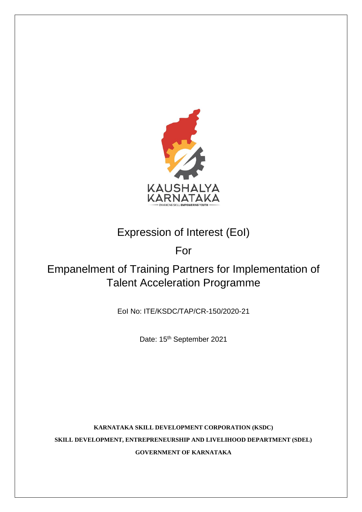

# Expression of Interest (EoI)

For

# Empanelment of Training Partners for Implementation of Talent Acceleration Programme

EoI No: ITE/KSDC/TAP/CR-150/2020-21

Date: 15<sup>th</sup> September 2021

**KARNATAKA SKILL DEVELOPMENT CORPORATION (KSDC) SKILL DEVELOPMENT, ENTREPRENEURSHIP AND LIVELIHOOD DEPARTMENT (SDEL) GOVERNMENT OF KARNATAKA**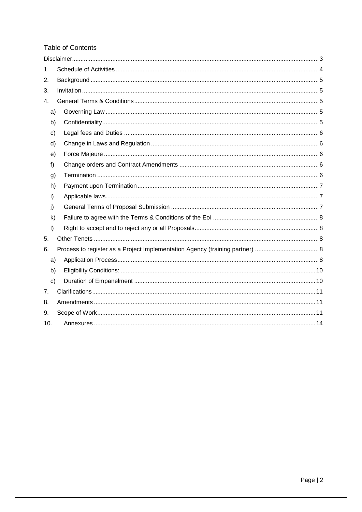# Table of Contents

| 1.            |  |  |  |
|---------------|--|--|--|
| 2.            |  |  |  |
| 3.            |  |  |  |
| 4.            |  |  |  |
| a)            |  |  |  |
| b)            |  |  |  |
| c)            |  |  |  |
| d)            |  |  |  |
| e)            |  |  |  |
| f)            |  |  |  |
| g)            |  |  |  |
| h)            |  |  |  |
| i)            |  |  |  |
| j)            |  |  |  |
| k)            |  |  |  |
| $\vert$ )     |  |  |  |
| 5.            |  |  |  |
| 6.            |  |  |  |
| a)            |  |  |  |
| b)            |  |  |  |
| $\mathsf{c})$ |  |  |  |
| 7.            |  |  |  |
| 8.            |  |  |  |
| 9.            |  |  |  |
| 10.           |  |  |  |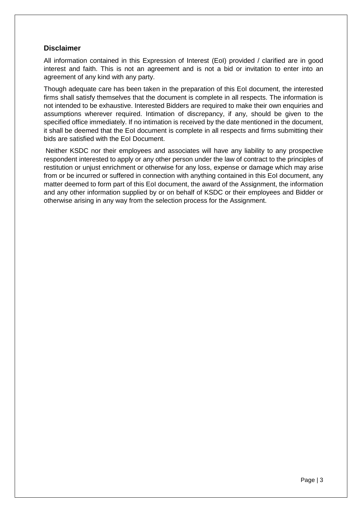# <span id="page-2-0"></span>**Disclaimer**

All information contained in this Expression of Interest (EoI) provided / clarified are in good interest and faith. This is not an agreement and is not a bid or invitation to enter into an agreement of any kind with any party.

Though adequate care has been taken in the preparation of this EoI document, the interested firms shall satisfy themselves that the document is complete in all respects. The information is not intended to be exhaustive. Interested Bidders are required to make their own enquiries and assumptions wherever required. Intimation of discrepancy, if any, should be given to the specified office immediately. If no intimation is received by the date mentioned in the document, it shall be deemed that the EoI document is complete in all respects and firms submitting their bids are satisfied with the EoI Document.

Neither KSDC nor their employees and associates will have any liability to any prospective respondent interested to apply or any other person under the law of contract to the principles of restitution or unjust enrichment or otherwise for any loss, expense or damage which may arise from or be incurred or suffered in connection with anything contained in this EoI document, any matter deemed to form part of this EoI document, the award of the Assignment, the information and any other information supplied by or on behalf of KSDC or their employees and Bidder or otherwise arising in any way from the selection process for the Assignment.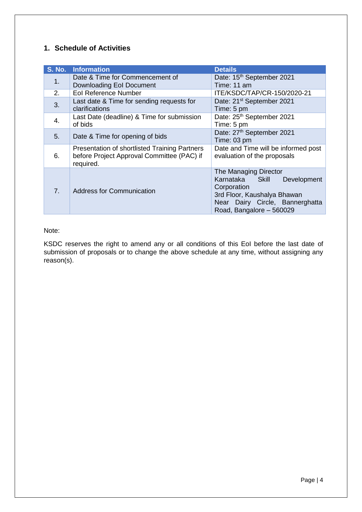# <span id="page-3-0"></span>**1. Schedule of Activities**

|                | S. No. Information                                                                                       | <b>Details</b>                                                                                                                                                       |
|----------------|----------------------------------------------------------------------------------------------------------|----------------------------------------------------------------------------------------------------------------------------------------------------------------------|
| 1.             | Date & Time for Commencement of                                                                          | Date: 15th September 2021                                                                                                                                            |
|                | Downloading EoI Document                                                                                 | Time: 11 am                                                                                                                                                          |
| 2.             | <b>Eol Reference Number</b>                                                                              | ITE/KSDC/TAP/CR-150/2020-21                                                                                                                                          |
| 3.             | Last date & Time for sending requests for<br>clarifications                                              | Date: 21 <sup>st</sup> September 2021<br>Time: 5 pm                                                                                                                  |
|                |                                                                                                          |                                                                                                                                                                      |
| 4.             | Last Date (deadline) & Time for submission<br>of bids                                                    | Date: 25 <sup>th</sup> September 2021<br>Time: 5 pm                                                                                                                  |
| 5.             | Date & Time for opening of bids                                                                          | Date: 27th September 2021<br>Time: 03 pm                                                                                                                             |
| 6.             | Presentation of shortlisted Training Partners<br>before Project Approval Committee (PAC) if<br>required. | Date and Time will be informed post<br>evaluation of the proposals                                                                                                   |
| 7 <sub>1</sub> | <b>Address for Communication</b>                                                                         | The Managing Director<br>Karnataka Skill<br>Development<br>Corporation<br>3rd Floor, Kaushalya Bhawan<br>Near Dairy Circle, Bannerghatta<br>Road, Bangalore - 560029 |

## Note:

KSDC reserves the right to amend any or all conditions of this EoI before the last date of submission of proposals or to change the above schedule at any time, without assigning any reason(s).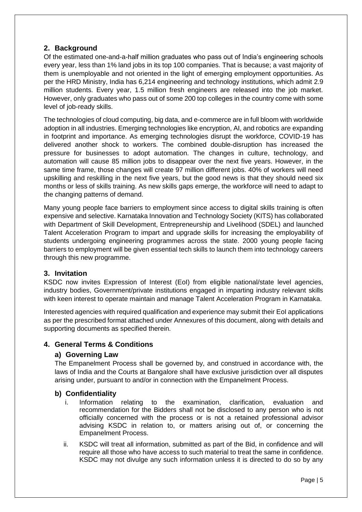# <span id="page-4-0"></span>**2. Background**

Of the estimated one-and-a-half million graduates who pass out of India's engineering schools every year, less than 1% land jobs in its top 100 companies. That is because; a vast majority of them is unemployable and not oriented in the light of emerging employment opportunities. As per the HRD Ministry, India has 6,214 engineering and technology institutions, which admit 2.9 million students. Every year, 1.5 million fresh engineers are released into the job market. However, only graduates who pass out of some 200 top colleges in the country come with some level of job-ready skills.

The technologies of cloud computing, big data, and e-commerce are in full bloom with worldwide adoption in all industries. Emerging technologies like encryption, AI, and robotics are expanding in footprint and importance. As emerging technologies disrupt the workforce, COVID-19 has delivered another shock to workers. The combined double-disruption has increased the pressure for businesses to adopt automation. The changes in culture, technology, and automation will cause 85 million jobs to disappear over the next five years. However, in the same time frame, those changes will create 97 million different jobs. 40% of workers will need upskilling and reskilling in the next five years, but the good news is that they should need six months or less of skills training. As new skills gaps emerge, the workforce will need to adapt to the changing patterns of demand.

Many young people face barriers to employment since access to digital skills training is often expensive and selective. Karnataka Innovation and Technology Society (KITS) has collaborated with Department of Skill Development, Entrepreneurship and Livelihood (SDEL) and launched Talent Acceleration Program to impart and upgrade skills for increasing the employability of students undergoing engineering programmes across the state. 2000 young people facing barriers to employment will be given essential tech skills to launch them into technology careers through this new programme.

# <span id="page-4-1"></span>**3. Invitation**

KSDC now invites Expression of Interest (EoI) from eligible national/state level agencies, industry bodies, Government/private institutions engaged in imparting industry relevant skills with keen interest to operate maintain and manage Talent Acceleration Program in Karnataka.

Interested agencies with required qualification and experience may submit their EoI applications as per the prescribed format attached under Annexures of this document, along with details and supporting documents as specified therein.

# <span id="page-4-3"></span><span id="page-4-2"></span>**4. General Terms & Conditions**

#### **a) Governing Law**

The Empanelment Process shall be governed by, and construed in accordance with, the laws of India and the Courts at Bangalore shall have exclusive jurisdiction over all disputes arising under, pursuant to and/or in connection with the Empanelment Process.

# <span id="page-4-4"></span>**b) Confidentiality**

- i. Information relating to the examination, clarification, evaluation and recommendation for the Bidders shall not be disclosed to any person who is not officially concerned with the process or is not a retained professional advisor advising KSDC in relation to, or matters arising out of, or concerning the Empanelment Process.
- ii. KSDC will treat all information, submitted as part of the Bid, in confidence and will require all those who have access to such material to treat the same in confidence. KSDC may not divulge any such information unless it is directed to do so by any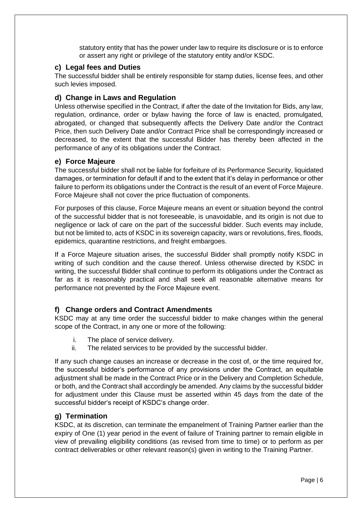statutory entity that has the power under law to require its disclosure or is to enforce or assert any right or privilege of the statutory entity and/or KSDC.

#### <span id="page-5-0"></span>**c) Legal fees and Duties**

The successful bidder shall be entirely responsible for stamp duties, license fees, and other such levies imposed.

#### <span id="page-5-1"></span>**d) Change in Laws and Regulation**

Unless otherwise specified in the Contract, if after the date of the Invitation for Bids, any law, regulation, ordinance, order or bylaw having the force of law is enacted, promulgated, abrogated, or changed that subsequently affects the Delivery Date and/or the Contract Price, then such Delivery Date and/or Contract Price shall be correspondingly increased or decreased, to the extent that the successful Bidder has thereby been affected in the performance of any of its obligations under the Contract.

#### <span id="page-5-2"></span>**e) Force Majeure**

The successful bidder shall not be liable for forfeiture of its Performance Security, liquidated damages, or termination for default if and to the extent that it's delay in performance or other failure to perform its obligations under the Contract is the result of an event of Force Majeure. Force Majeure shall not cover the price fluctuation of components.

For purposes of this clause, Force Majeure means an event or situation beyond the control of the successful bidder that is not foreseeable, is unavoidable, and its origin is not due to negligence or lack of care on the part of the successful bidder. Such events may include, but not be limited to, acts of KSDC in its sovereign capacity, wars or revolutions, fires, floods, epidemics, quarantine restrictions, and freight embargoes.

If a Force Majeure situation arises, the successful Bidder shall promptly notify KSDC in writing of such condition and the cause thereof. Unless otherwise directed by KSDC in writing, the successful Bidder shall continue to perform its obligations under the Contract as far as it is reasonably practical and shall seek all reasonable alternative means for performance not prevented by the Force Majeure event.

#### <span id="page-5-3"></span>**f) Change orders and Contract Amendments**

KSDC may at any time order the successful bidder to make changes within the general scope of the Contract, in any one or more of the following:

- i. The place of service delivery.
- ii. The related services to be provided by the successful bidder.

If any such change causes an increase or decrease in the cost of, or the time required for, the successful bidder's performance of any provisions under the Contract, an equitable adjustment shall be made in the Contract Price or in the Delivery and Completion Schedule, or both, and the Contract shall accordingly be amended. Any claims by the successful bidder for adjustment under this Clause must be asserted within 45 days from the date of the successful bidder's receipt of KSDC's change order.

#### <span id="page-5-4"></span>**g) Termination**

KSDC, at its discretion, can terminate the empanelment of Training Partner earlier than the expiry of One (1) year period in the event of failure of Training partner to remain eligible in view of prevailing eligibility conditions (as revised from time to time) or to perform as per contract deliverables or other relevant reason(s) given in writing to the Training Partner.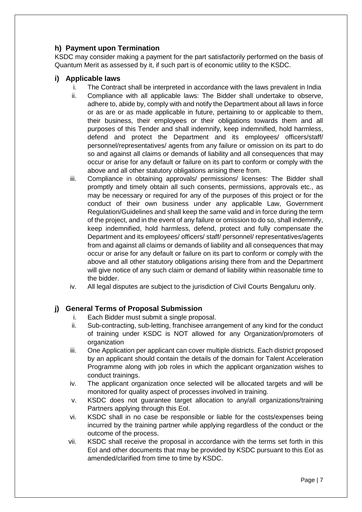# <span id="page-6-0"></span>**h) Payment upon Termination**

KSDC may consider making a payment for the part satisfactorily performed on the basis of Quantum Merit as assessed by it, if such part is of economic utility to the KSDC.

# <span id="page-6-1"></span>**i) Applicable laws**

- i. The Contract shall be interpreted in accordance with the laws prevalent in India
- ii. Compliance with all applicable laws: The Bidder shall undertake to observe, adhere to, abide by, comply with and notify the Department about all laws in force or as are or as made applicable in future, pertaining to or applicable to them, their business, their employees or their obligations towards them and all purposes of this Tender and shall indemnify, keep indemnified, hold harmless, defend and protect the Department and its employees/ officers/staff/ personnel/representatives/ agents from any failure or omission on its part to do so and against all claims or demands of liability and all consequences that may occur or arise for any default or failure on its part to conform or comply with the above and all other statutory obligations arising there from.
- iii. Compliance in obtaining approvals/ permissions/ licenses: The Bidder shall promptly and timely obtain all such consents, permissions, approvals etc., as may be necessary or required for any of the purposes of this project or for the conduct of their own business under any applicable Law, Government Regulation/Guidelines and shall keep the same valid and in force during the term of the project, and in the event of any failure or omission to do so, shall indemnify, keep indemnified, hold harmless, defend, protect and fully compensate the Department and its employees/ officers/ staff/ personnel/ representatives/agents from and against all claims or demands of liability and all consequences that may occur or arise for any default or failure on its part to conform or comply with the above and all other statutory obligations arising there from and the Department will give notice of any such claim or demand of liability within reasonable time to the bidder.
- iv. All legal disputes are subject to the jurisdiction of Civil Courts Bengaluru only.

# <span id="page-6-2"></span>**j) General Terms of Proposal Submission**

- i. Each Bidder must submit a single proposal.
- ii. Sub-contracting, sub-letting, franchisee arrangement of any kind for the conduct of training under KSDC is NOT allowed for any Organization/promoters of organization
- iii. One Application per applicant can cover multiple districts. Each district proposed by an applicant should contain the details of the domain for Talent Acceleration Programme along with job roles in which the applicant organization wishes to conduct trainings.
- iv. The applicant organization once selected will be allocated targets and will be monitored for quality aspect of processes involved in training.
- v. KSDC does not guarantee target allocation to any/all organizations/training Partners applying through this EoI.
- vi. KSDC shall in no case be responsible or liable for the costs/expenses being incurred by the training partner while applying regardless of the conduct or the outcome of the process.
- vii. KSDC shall receive the proposal in accordance with the terms set forth in this EoI and other documents that may be provided by KSDC pursuant to this EoI as amended/clarified from time to time by KSDC.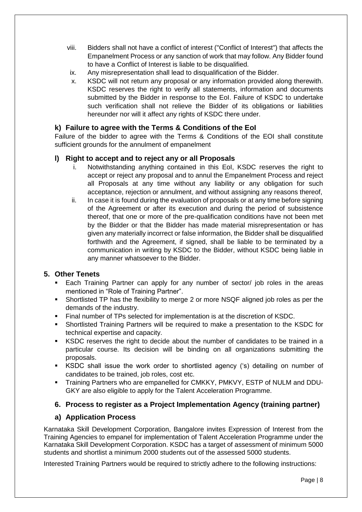- viii. Bidders shall not have a conflict of interest ("Conflict of Interest") that affects the Empanelment Process or any sanction of work that may follow. Any Bidder found to have a Conflict of Interest is liable to be disqualified.
- ix. Any misrepresentation shall lead to disqualification of the Bidder.
- x. KSDC will not return any proposal or any information provided along therewith. KSDC reserves the right to verify all statements, information and documents submitted by the Bidder in response to the EoI. Failure of KSDC to undertake such verification shall not relieve the Bidder of its obligations or liabilities hereunder nor will it affect any rights of KSDC there under.

# <span id="page-7-0"></span>**k) Failure to agree with the Terms & Conditions of the EoI**

Failure of the bidder to agree with the Terms & Conditions of the EOI shall constitute sufficient grounds for the annulment of empanelment

# <span id="page-7-1"></span>**l) Right to accept and to reject any or all Proposals**

- i. Notwithstanding anything contained in this EoI, KSDC reserves the right to accept or reject any proposal and to annul the Empanelment Process and reject all Proposals at any time without any liability or any obligation for such acceptance, rejection or annulment, and without assigning any reasons thereof,
- ii. In case it is found during the evaluation of proposals or at any time before signing of the Agreement or after its execution and during the period of subsistence thereof, that one or more of the pre-qualification conditions have not been met by the Bidder or that the Bidder has made material misrepresentation or has given any materially incorrect or false information, the Bidder shall be disqualified forthwith and the Agreement, if signed, shall be liable to be terminated by a communication in writing by KSDC to the Bidder, without KSDC being liable in any manner whatsoever to the Bidder.

# <span id="page-7-2"></span>**5. Other Tenets**

- Each Training Partner can apply for any number of sector/ job roles in the areas mentioned in "Role of Training Partner".
- Shortlisted TP has the flexibility to merge 2 or more NSQF aligned job roles as per the demands of the industry.
- Final number of TPs selected for implementation is at the discretion of KSDC.
- Shortlisted Training Partners will be required to make a presentation to the KSDC for technical expertise and capacity.
- KSDC reserves the right to decide about the number of candidates to be trained in a particular course. Its decision will be binding on all organizations submitting the proposals.
- KSDC shall issue the work order to shortlisted agency ('s) detailing on number of candidates to be trained, job roles, cost etc.
- Training Partners who are empanelled for CMKKY, PMKVY, ESTP of NULM and DDU-GKY are also eligible to apply for the Talent Acceleration Programme.

# <span id="page-7-3"></span>**6. Process to register as a Project Implementation Agency (training partner)**

# <span id="page-7-4"></span>**a) Application Process**

Karnataka Skill Development Corporation, Bangalore invites Expression of Interest from the Training Agencies to empanel for implementation of Talent Acceleration Programme under the Karnataka Skill Development Corporation. KSDC has a target of assessment of minimum 5000 students and shortlist a minimum 2000 students out of the assessed 5000 students.

Interested Training Partners would be required to strictly adhere to the following instructions: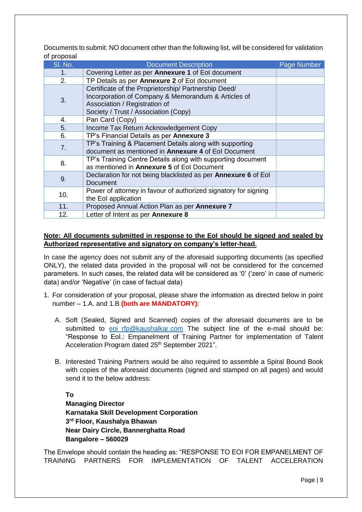Documents to submit: NO document other than the following list, will be considered for validation of proposal

| SI. No. | <b>Document Description</b>                                                                                                                                                          | Page Number |
|---------|--------------------------------------------------------------------------------------------------------------------------------------------------------------------------------------|-------------|
| 1.      | Covering Letter as per Annexure 1 of Eol document                                                                                                                                    |             |
| 2.      | TP Details as per Annexure 2 of Eol document                                                                                                                                         |             |
| 3.      | Certificate of the Proprietorship/ Partnership Deed/<br>Incorporation of Company & Memorandum & Articles of<br>Association / Registration of<br>Society / Trust / Association (Copy) |             |
| 4.      | Pan Card (Copy)                                                                                                                                                                      |             |
| 5.      | Income Tax Return Acknowledgement Copy                                                                                                                                               |             |
| 6.      | TP's Financial Details as per Annexure 3                                                                                                                                             |             |
| 7.      | TP's Training & Placement Details along with supporting<br>document as mentioned in <b>Annexure 4</b> of EoI Document                                                                |             |
| 8.      | TP's Training Centre Details along with supporting document<br>as mentioned in Annexure 5 of Eol Document                                                                            |             |
| 9.      | Declaration for not being blacklisted as per <b>Annexure 6</b> of Eol<br>Document                                                                                                    |             |
| 10.     | Power of attorney in favour of authorized signatory for signing<br>the Eol application                                                                                               |             |
| 11.     | Proposed Annual Action Plan as per Annexure 7                                                                                                                                        |             |
| 12.     | Letter of Intent as per Annexure 8                                                                                                                                                   |             |

#### **Note: All documents submitted in response to the EoI should be signed and sealed by Authorized representative and signatory on company's letter-head.**

In case the agency does not submit any of the aforesaid supporting documents (as specified ONLY), the related data provided in the proposal will not be considered for the concerned parameters. In such cases, the related data will be considered as '0' ('zero' in case of numeric data) and/or 'Negative' (in case of factual data)

- 1. For consideration of your proposal, please share the information as directed below in point number – 1.A. and 1.B **(both are MANDATORY)**:
	- A. Soft (Sealed, Signed and Scanned) copies of the aforesaid documents are to be submitted to eoi rfp@kaushalkar.com The subject line of the e-mail should be: "Response to EoI.: Empanelment of Training Partner for implementation of Talent Acceleration Program dated 25<sup>th</sup> September 2021".
	- B. Interested Training Partners would be also required to assemble a Spiral Bound Book with copies of the aforesaid documents (signed and stamped on all pages) and would send it to the below address:

**To**

**Managing Director Karnataka Skill Development Corporation 3 rd Floor, Kaushalya Bhawan Near Dairy Circle, Bannerghatta Road Bangalore – 560029**

The Envelope should contain the heading as: "RESPONSE TO EOI FOR EMPANELMENT OF TRAINING PARTNERS FOR IMPLEMENTATION OF TALENT ACCELERATION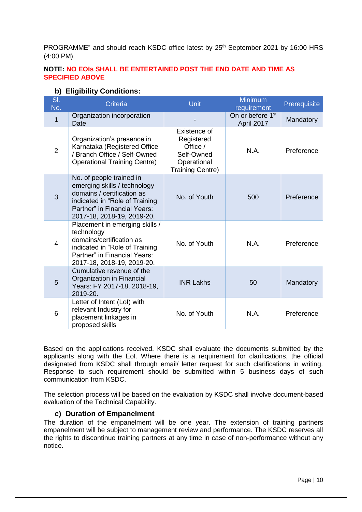PROGRAMME" and should reach KSDC office latest by 25<sup>th</sup> September 2021 by 16:00 HRS (4:00 PM).

#### **NOTE: NO EOIs SHALL BE ENTERTAINED POST THE END DATE AND TIME AS SPECIFIED ABOVE**

### **b) Eligibility Conditions:**

<span id="page-9-0"></span>

| SI.<br>No.     | <b>Criteria</b>                                                                                                                                                                        | Unit                                                                                           | <b>Minimum</b><br>requirement              | Prerequisite |
|----------------|----------------------------------------------------------------------------------------------------------------------------------------------------------------------------------------|------------------------------------------------------------------------------------------------|--------------------------------------------|--------------|
| 1              | Organization incorporation<br>Date                                                                                                                                                     |                                                                                                | On or before 1 <sup>st</sup><br>April 2017 | Mandatory    |
| $\overline{2}$ | Organization's presence in<br>Karnataka (Registered Office<br>/ Branch Office / Self-Owned<br><b>Operational Training Centre)</b>                                                      | Existence of<br>Registered<br>Office /<br>Self-Owned<br>Operational<br><b>Training Centre)</b> | N.A.                                       | Preference   |
| 3              | No. of people trained in<br>emerging skills / technology<br>domains / certification as<br>indicated in "Role of Training<br>Partner" in Financial Years:<br>2017-18, 2018-19, 2019-20. | No. of Youth                                                                                   | 500                                        | Preference   |
| $\overline{4}$ | Placement in emerging skills /<br>technology<br>domains/certification as<br>indicated in "Role of Training<br>Partner" in Financial Years:<br>2017-18, 2018-19, 2019-20.               | No. of Youth                                                                                   | N.A.                                       | Preference   |
| 5              | Cumulative revenue of the<br>Organization in Financial<br>Years: FY 2017-18, 2018-19,<br>2019-20.                                                                                      | <b>INR Lakhs</b>                                                                               | 50                                         | Mandatory    |
| 6              | Letter of Intent (LoI) with<br>relevant Industry for<br>placement linkages in<br>proposed skills                                                                                       | No. of Youth                                                                                   | N.A.                                       | Preference   |

Based on the applications received, KSDC shall evaluate the documents submitted by the applicants along with the EoI. Where there is a requirement for clarifications, the official designated from KSDC shall through email/ letter request for such clarifications in writing. Response to such requirement should be submitted within 5 business days of such communication from KSDC.

The selection process will be based on the evaluation by KSDC shall involve document-based evaluation of the Technical Capability.

#### **c) Duration of Empanelment**

<span id="page-9-1"></span>The duration of the empanelment will be one year. The extension of training partners empanelment will be subject to management review and performance. The KSDC reserves all the rights to discontinue training partners at any time in case of non-performance without any notice.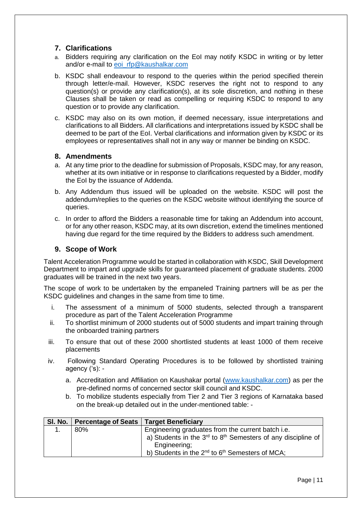# <span id="page-10-0"></span>**7. Clarifications**

- a. Bidders requiring any clarification on the EoI may notify KSDC in writing or by letter and/or e-mail to [eoi\\_rfp@kaushalkar.com](mailto:eoi_rfp@kaushalkar.com)
- b. KSDC shall endeavour to respond to the queries within the period specified therein through letter/e-mail. However, KSDC reserves the right not to respond to any question(s) or provide any clarification(s), at its sole discretion, and nothing in these Clauses shall be taken or read as compelling or requiring KSDC to respond to any question or to provide any clarification.
- c. KSDC may also on its own motion, if deemed necessary, issue interpretations and clarifications to all Bidders. All clarifications and interpretations issued by KSDC shall be deemed to be part of the EoI. Verbal clarifications and information given by KSDC or its employees or representatives shall not in any way or manner be binding on KSDC.

### <span id="page-10-1"></span>**8. Amendments**

- a. At any time prior to the deadline for submission of Proposals, KSDC may, for any reason, whether at its own initiative or in response to clarifications requested by a Bidder, modify the EoI by the issuance of Addenda.
- b. Any Addendum thus issued will be uploaded on the website. KSDC will post the addendum/replies to the queries on the KSDC website without identifying the source of queries.
- c. In order to afford the Bidders a reasonable time for taking an Addendum into account, or for any other reason, KSDC may, at its own discretion, extend the timelines mentioned having due regard for the time required by the Bidders to address such amendment.

# <span id="page-10-2"></span>**9. Scope of Work**

Talent Acceleration Programme would be started in collaboration with KSDC, Skill Development Department to impart and upgrade skills for guaranteed placement of graduate students. 2000 graduates will be trained in the next two years.

The scope of work to be undertaken by the empaneled Training partners will be as per the KSDC guidelines and changes in the same from time to time.

- i. The assessment of a minimum of 5000 students, selected through a transparent procedure as part of the Talent Acceleration Programme
- ii. To shortlist minimum of 2000 students out of 5000 students and impart training through the onboarded training partners
- iii. To ensure that out of these 2000 shortlisted students at least 1000 of them receive placements
- iv. Following Standard Operating Procedures is to be followed by shortlisted training agency ('s):
	- a. Accreditation and Affiliation on Kaushakar portal [\(www.kaushalkar.com\)](http://www.kaushalkar.com/) as per the pre-defined norms of concerned sector skill council and KSDC.
	- b. To mobilize students especially from Tier 2 and Tier 3 regions of Karnataka based on the break-up detailed out in the under-mentioned table: -

| SI. No. | <b>Percentage of Seats</b> | <b>Target Beneficiary</b>                                               |
|---------|----------------------------|-------------------------------------------------------------------------|
|         | 80%                        | Engineering graduates from the current batch i.e.                       |
|         |                            | a) Students in the $3rd$ to $8th$ Semesters of any discipline of        |
|         |                            | Engineering;                                                            |
|         |                            | b) Students in the 2 <sup>nd</sup> to 6 <sup>th</sup> Semesters of MCA; |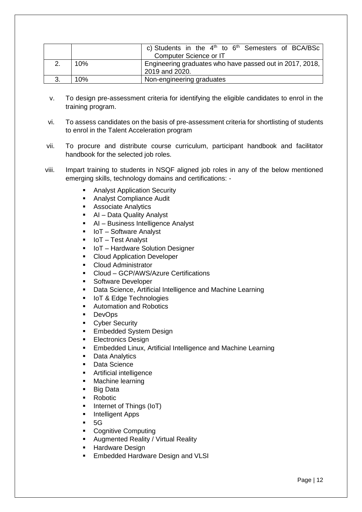|     | c) Students in the $4th$ to $6th$ Semesters of BCA/BSc<br>Computer Science or IT |  |
|-----|----------------------------------------------------------------------------------|--|
| 10% | Engineering graduates who have passed out in 2017, 2018,<br>2019 and 2020.       |  |
| 10% | Non-engineering graduates                                                        |  |

- v. To design pre-assessment criteria for identifying the eligible candidates to enrol in the training program.
- vi. To assess candidates on the basis of pre-assessment criteria for shortlisting of students to enrol in the Talent Acceleration program
- vii. To procure and distribute course curriculum, participant handbook and facilitator handbook for the selected job roles.
- viii. Impart training to students in NSQF aligned job roles in any of the below mentioned emerging skills, technology domains and certifications: -
	- Analyst Application Security
	- Analyst Compliance Audit
	- Associate Analytics
	- AI Data Quality Analyst
	- AI Business Intelligence Analyst
	- IoT Software Analyst
	- IoT Test Analyst
	- IoT Hardware Solution Designer
	- Cloud Application Developer
	- Cloud Administrator
	- Cloud GCP/AWS/Azure Certifications
	- Software Developer
	- Data Science, Artificial Intelligence and Machine Learning
	- IoT & Edge Technologies
	- Automation and Robotics
	- DevOps
	- Cyber Security
	- **Embedded System Design**
	- Electronics Design
	- **Embedded Linux, Artificial Intelligence and Machine Learning**
	- Data Analytics
	- Data Science
	- **EXECUTE:** Artificial intelligence
	- Machine learning
	- Big Data
	- Robotic
	- Internet of Things (IoT)
	- Intelligent Apps
	- 5G
	- Cognitive Computing
	- Augmented Reality / Virtual Reality
	- **E** Hardware Design
	- **Embedded Hardware Design and VLSI**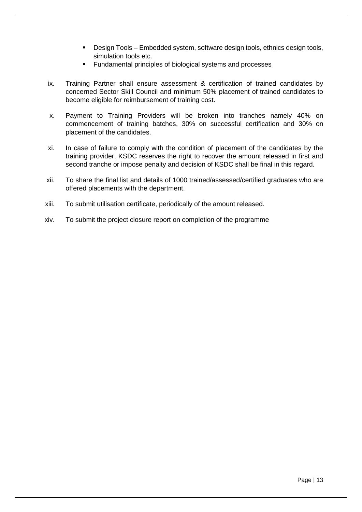- Design Tools Embedded system, software design tools, ethnics design tools, simulation tools etc.
- Fundamental principles of biological systems and processes
- ix. Training Partner shall ensure assessment & certification of trained candidates by concerned Sector Skill Council and minimum 50% placement of trained candidates to become eligible for reimbursement of training cost.
- x. Payment to Training Providers will be broken into tranches namely 40% on commencement of training batches, 30% on successful certification and 30% on placement of the candidates.
- xi. In case of failure to comply with the condition of placement of the candidates by the training provider, KSDC reserves the right to recover the amount released in first and second tranche or impose penalty and decision of KSDC shall be final in this regard.
- xii. To share the final list and details of 1000 trained/assessed/certified graduates who are offered placements with the department.
- xiii. To submit utilisation certificate, periodically of the amount released.
- xiv. To submit the project closure report on completion of the programme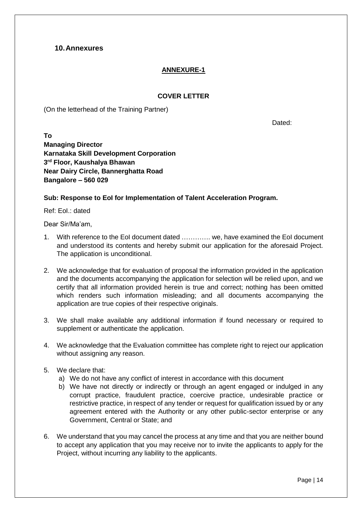# <span id="page-13-0"></span>**10.Annexures**

# **ANNEXURE-1**

### **COVER LETTER**

(On the letterhead of the Training Partner)

Dated:

**To Managing Director Karnataka Skill Development Corporation 3 rd Floor, Kaushalya Bhawan Near Dairy Circle, Bannerghatta Road Bangalore – 560 029**

### **Sub: Response to EoI for Implementation of Talent Acceleration Program.**

Ref: EoI.: dated

Dear Sir/Ma'am,

- 1. With reference to the EoI document dated …………. we, have examined the EoI document and understood its contents and hereby submit our application for the aforesaid Project. The application is unconditional.
- 2. We acknowledge that for evaluation of proposal the information provided in the application and the documents accompanying the application for selection will be relied upon, and we certify that all information provided herein is true and correct; nothing has been omitted which renders such information misleading; and all documents accompanying the application are true copies of their respective originals.
- 3. We shall make available any additional information if found necessary or required to supplement or authenticate the application.
- 4. We acknowledge that the Evaluation committee has complete right to reject our application without assigning any reason.
- 5. We declare that:
	- a) We do not have any conflict of interest in accordance with this document
	- b) We have not directly or indirectly or through an agent engaged or indulged in any corrupt practice, fraudulent practice, coercive practice, undesirable practice or restrictive practice, in respect of any tender or request for qualification issued by or any agreement entered with the Authority or any other public-sector enterprise or any Government, Central or State; and
- 6. We understand that you may cancel the process at any time and that you are neither bound to accept any application that you may receive nor to invite the applicants to apply for the Project, without incurring any liability to the applicants.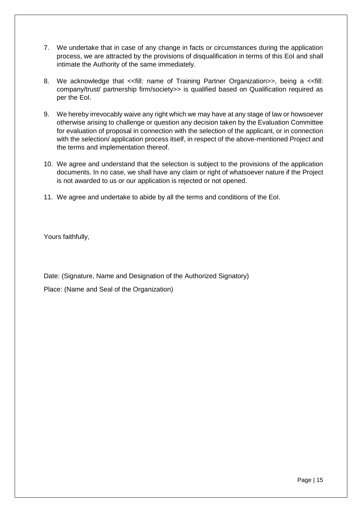- 7. We undertake that in case of any change in facts or circumstances during the application process, we are attracted by the provisions of disqualification in terms of this EoI and shall intimate the Authority of the same immediately.
- 8. We acknowledge that << fill: name of Training Partner Organization>>, being a << fill: company/trust/ partnership firm/society>> is qualified based on Qualification required as per the EoI.
- 9. We hereby irrevocably waive any right which we may have at any stage of law or howsoever otherwise arising to challenge or question any decision taken by the Evaluation Committee for evaluation of proposal in connection with the selection of the applicant, or in connection with the selection/ application process itself, in respect of the above-mentioned Project and the terms and implementation thereof.
- 10. We agree and understand that the selection is subject to the provisions of the application documents. In no case, we shall have any claim or right of whatsoever nature if the Project is not awarded to us or our application is rejected or not opened.
- 11. We agree and undertake to abide by all the terms and conditions of the EoI.

Yours faithfully,

Date: (Signature, Name and Designation of the Authorized Signatory)

Place: (Name and Seal of the Organization)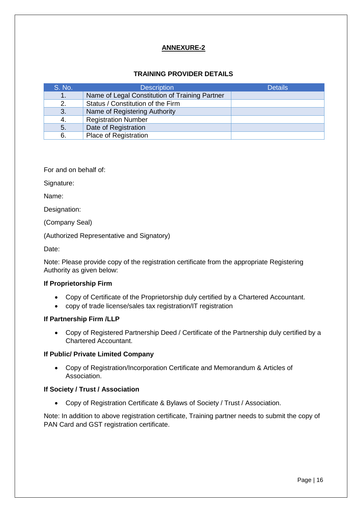### **TRAINING PROVIDER DETAILS**

| S. No. | <b>Description</b>                             | <b>Details</b> |
|--------|------------------------------------------------|----------------|
| 1.     | Name of Legal Constitution of Training Partner |                |
| 2.     | Status / Constitution of the Firm              |                |
| 3.     | Name of Registering Authority                  |                |
| -4.    | <b>Registration Number</b>                     |                |
| 5.     | Date of Registration                           |                |
| 6.     | <b>Place of Registration</b>                   |                |

For and on behalf of:

Signature:

Name:

Designation:

(Company Seal)

(Authorized Representative and Signatory)

Date:

Note: Please provide copy of the registration certificate from the appropriate Registering Authority as given below:

#### **If Proprietorship Firm**

- Copy of Certificate of the Proprietorship duly certified by a Chartered Accountant.
- copy of trade license/sales tax registration/IT registration

#### **If Partnership Firm /LLP**

• Copy of Registered Partnership Deed / Certificate of the Partnership duly certified by a Chartered Accountant.

#### **If Public/ Private Limited Company**

• Copy of Registration/Incorporation Certificate and Memorandum & Articles of Association.

#### **If Society / Trust / Association**

• Copy of Registration Certificate & Bylaws of Society / Trust / Association.

Note: In addition to above registration certificate, Training partner needs to submit the copy of PAN Card and GST registration certificate.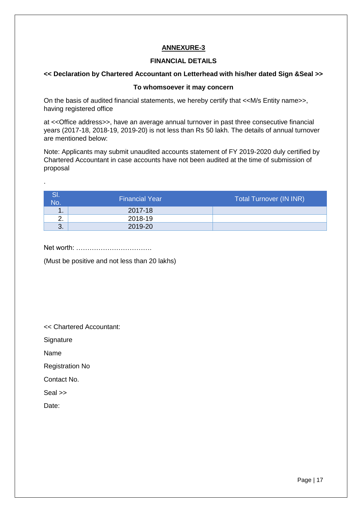#### **FINANCIAL DETAILS**

# **<< Declaration by Chartered Accountant on Letterhead with his/her dated Sign &Seal >>**

#### **To whomsoever it may concern**

On the basis of audited financial statements, we hereby certify that <<M/s Entity name>>, having registered office

at <<Office address>>, have an average annual turnover in past three consecutive financial years (2017-18, 2018-19, 2019-20) is not less than Rs 50 lakh. The details of annual turnover are mentioned below:

Note: Applicants may submit unaudited accounts statement of FY 2019-2020 duly certified by Chartered Accountant in case accounts have not been audited at the time of submission of proposal

| No.           | <b>Financial Year</b> | <b>Total Turnover (IN INR)</b> |
|---------------|-----------------------|--------------------------------|
| м<br>. .      | 2017-18               |                                |
| ົ<br><u>.</u> | 2018-19               |                                |
| 3.            | 2019-20               |                                |

Net worth: …………………………….

(Must be positive and not less than 20 lakhs)

<< Chartered Accountant:

**Signature** 

Name

.

Registration No

Contact No.

Seal >>

Date: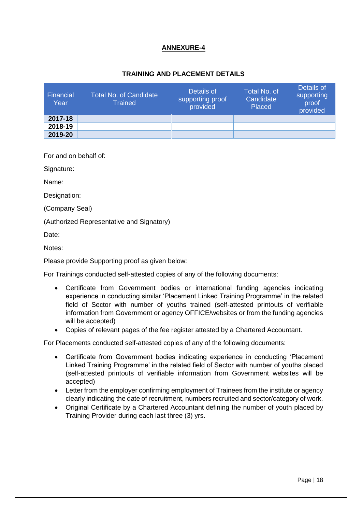### **TRAINING AND PLACEMENT DETAILS**

| Financial<br>Year | Total No. of Candidate<br><b>Trained</b> | Details of<br>supporting proof<br>provided | Total No. of<br>Candidate<br>Placed | Details of<br>supporting<br>proof<br>provided |
|-------------------|------------------------------------------|--------------------------------------------|-------------------------------------|-----------------------------------------------|
| 2017-18           |                                          |                                            |                                     |                                               |
| 2018-19           |                                          |                                            |                                     |                                               |
| 2019-20           |                                          |                                            |                                     |                                               |

For and on behalf of:

Signature:

Name:

Designation:

(Company Seal)

(Authorized Representative and Signatory)

Date:

Notes:

Please provide Supporting proof as given below:

For Trainings conducted self-attested copies of any of the following documents:

- Certificate from Government bodies or international funding agencies indicating experience in conducting similar 'Placement Linked Training Programme' in the related field of Sector with number of youths trained (self-attested printouts of verifiable information from Government or agency OFFICE/websites or from the funding agencies will be accepted)
- Copies of relevant pages of the fee register attested by a Chartered Accountant.

For Placements conducted self-attested copies of any of the following documents:

- Certificate from Government bodies indicating experience in conducting 'Placement Linked Training Programme' in the related field of Sector with number of youths placed (self-attested printouts of verifiable information from Government websites will be accepted)
- Letter from the employer confirming employment of Trainees from the institute or agency clearly indicating the date of recruitment, numbers recruited and sector/category of work.
- Original Certificate by a Chartered Accountant defining the number of youth placed by Training Provider during each last three (3) yrs.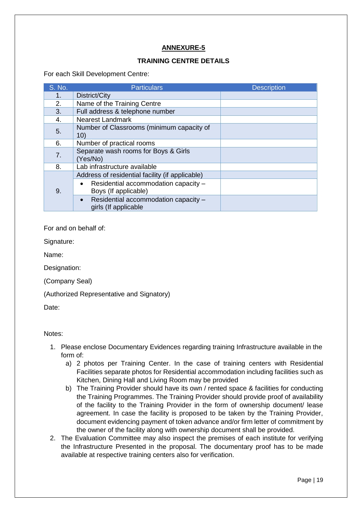#### **TRAINING CENTRE DETAILS**

For each Skill Development Centre:

| S. No. | <b>Particulars</b>                                                        | <b>Description</b> |
|--------|---------------------------------------------------------------------------|--------------------|
| 1.     | District/City                                                             |                    |
| 2.     | Name of the Training Centre                                               |                    |
| 3.     | Full address & telephone number                                           |                    |
| 4.     | <b>Nearest Landmark</b>                                                   |                    |
| 5.     | Number of Classrooms (minimum capacity of<br>10)                          |                    |
| 6.     | Number of practical rooms                                                 |                    |
| 7.     | Separate wash rooms for Boys & Girls<br>(Yes/No)                          |                    |
| 8.     | Lab infrastructure available                                              |                    |
|        | Address of residential facility (if applicable)                           |                    |
| 9.     | Residential accommodation capacity -<br>$\bullet$<br>Boys (If applicable) |                    |
|        | Residential accommodation capacity -<br>$\bullet$<br>girls (If applicable |                    |

For and on behalf of:

Signature:

Name:

Designation:

(Company Seal)

(Authorized Representative and Signatory)

Date:

#### Notes:

- 1. Please enclose Documentary Evidences regarding training Infrastructure available in the form of:
	- a) 2 photos per Training Center. In the case of training centers with Residential Facilities separate photos for Residential accommodation including facilities such as Kitchen, Dining Hall and Living Room may be provided
	- b) The Training Provider should have its own / rented space & facilities for conducting the Training Programmes. The Training Provider should provide proof of availability of the facility to the Training Provider in the form of ownership document/ lease agreement. In case the facility is proposed to be taken by the Training Provider, document evidencing payment of token advance and/or firm letter of commitment by the owner of the facility along with ownership document shall be provided.
- 2. The Evaluation Committee may also inspect the premises of each institute for verifying the Infrastructure Presented in the proposal. The documentary proof has to be made available at respective training centers also for verification.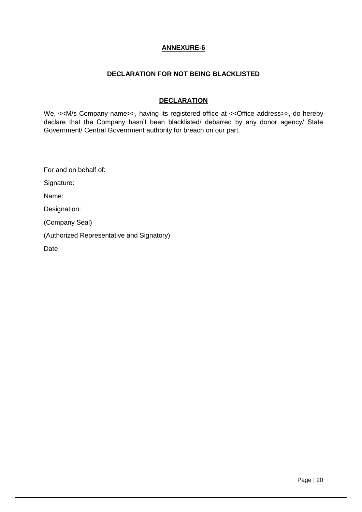#### **DECLARATION FOR NOT BEING BLACKLISTED**

#### **DECLARATION**

We, <<M/s Company name>>, having its registered office at << Office address>>, do hereby declare that the Company hasn't been blacklisted/ debarred by any donor agency/ State Government/ Central Government authority for breach on our part.

For and on behalf of:

Signature:

Name:

Designation:

(Company Seal)

(Authorized Representative and Signatory)

Date

Page | 20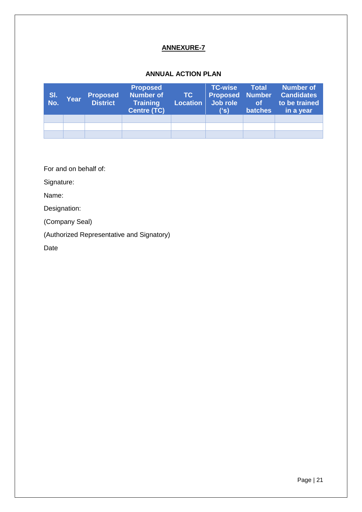## **ANNUAL ACTION PLAN**

| SI.<br>No. | Year | <b>Proposed</b><br><b>District</b> | <b>Proposed</b><br><b>Number of</b><br><b>Training</b><br><b>Centre (TC)</b> | $\sqrt{10}$<br>Location | <b>TC-wise</b><br>Job role<br>('s) | <b>Total</b><br>of<br><b>batches</b> | <b>Number of</b><br><b>Proposed Number Candidates</b><br>to be trained<br>in a year |
|------------|------|------------------------------------|------------------------------------------------------------------------------|-------------------------|------------------------------------|--------------------------------------|-------------------------------------------------------------------------------------|
|            |      |                                    |                                                                              |                         |                                    |                                      |                                                                                     |
|            |      |                                    |                                                                              |                         |                                    |                                      |                                                                                     |
|            |      |                                    |                                                                              |                         |                                    |                                      |                                                                                     |

For and on behalf of:

Signature:

Name:

Designation:

(Company Seal)

(Authorized Representative and Signatory)

Date